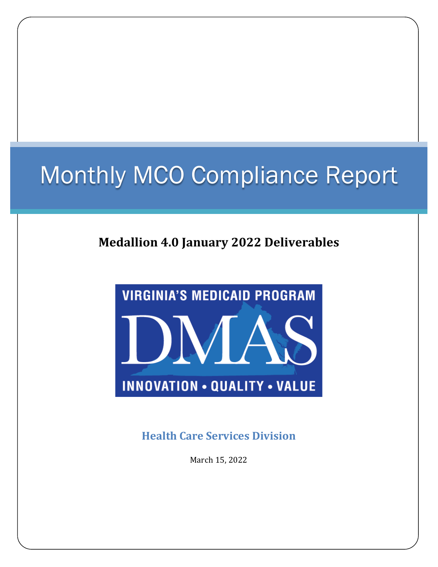# Monthly MCO Compliance Report

### **Medallion 4.0 January 2022 Deliverables**



**Health Care Services Division**

March 15, 2022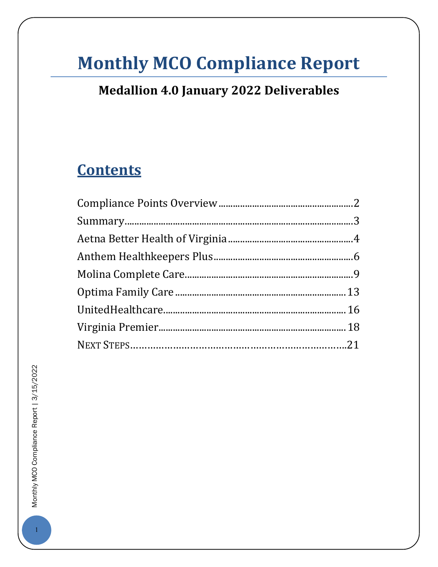### **Monthly MCO Compliance Report**

### **Medallion 4.0 January 2022 Deliverables**

### **Contents**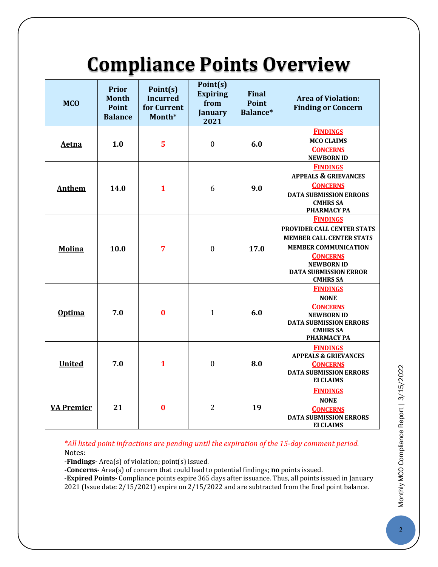## **Compliance Points Overview**

<span id="page-2-0"></span>

| <b>MCO</b>        | <b>Prior</b><br><b>Month</b><br><b>Point</b><br><b>Balance</b> | Point(s)<br><b>Incurred</b><br>for Current<br>Month* | Point(s)<br><b>Expiring</b><br>from<br><b>January</b><br>2021 | <b>Final</b><br><b>Point</b><br>Balance* | <b>Area of Violation:</b><br><b>Finding or Concern</b>                                                                                                                                                     |
|-------------------|----------------------------------------------------------------|------------------------------------------------------|---------------------------------------------------------------|------------------------------------------|------------------------------------------------------------------------------------------------------------------------------------------------------------------------------------------------------------|
| <b>Aetna</b>      | 1.0                                                            | 5                                                    | $\boldsymbol{0}$                                              | 6.0                                      | <b>FINDINGS</b><br><b>MCO CLAIMS</b><br><b>CONCERNS</b><br><b>NEWBORN ID</b>                                                                                                                               |
| <b>Anthem</b>     | 14.0                                                           | $\mathbf{1}$                                         | 6                                                             | 9.0                                      | <b>FINDINGS</b><br><b>APPEALS &amp; GRIEVANCES</b><br><b>CONCERNS</b><br><b>DATA SUBMISSION ERRORS</b><br><b>CMHRS SA</b><br><b>PHARMACY PA</b>                                                            |
| <b>Molina</b>     | 10.0                                                           | 7                                                    | $\mathbf{0}$                                                  | 17.0                                     | <b>FINDINGS</b><br>PROVIDER CALL CENTER STATS<br><b>MEMBER CALL CENTER STATS</b><br><b>MEMBER COMMUNICATION</b><br><b>CONCERNS</b><br><b>NEWBORN ID</b><br><b>DATA SUBMISSION ERROR</b><br><b>CMHRS SA</b> |
| <b>Optima</b>     | 7.0                                                            | $\bf{0}$                                             | $\mathbf{1}$                                                  | 6.0                                      | <b>FINDINGS</b><br><b>NONE</b><br><b>CONCERNS</b><br><b>NEWBORN ID</b><br><b>DATA SUBMISSION ERRORS</b><br><b>CMHRS SA</b><br>PHARMACY PA                                                                  |
| <b>United</b>     | 7.0                                                            | $\mathbf{1}$                                         | $\mathbf{0}$                                                  | 8.0                                      | <b>FINDINGS</b><br><b>APPEALS &amp; GRIEVANCES</b><br><b>CONCERNS</b><br><b>DATA SUBMISSION ERRORS</b><br><b>EI CLAIMS</b>                                                                                 |
| <b>VA Premier</b> | 21                                                             | $\bf{0}$                                             | $\overline{2}$                                                | 19                                       | <b>FINDINGS</b><br><b>NONE</b><br><b>CONCERNS</b><br><b>DATA SUBMISSION ERRORS</b><br><b>EI CLAIMS</b>                                                                                                     |

*\*All listed point infractions are pending until the expiration of the 15-day comment period.* Notes:

**-Findings-** Area(s) of violation; point(s) issued.

**-Concerns-** Area(s) of concern that could lead to potential findings; **no** points issued.

-**Expired Points-** Compliance points expire 365 days after issuance. Thus, all points issued in January 2021 (Issue date: 2/15/2021) expire on 2/15/2022 and are subtracted from the final point balance.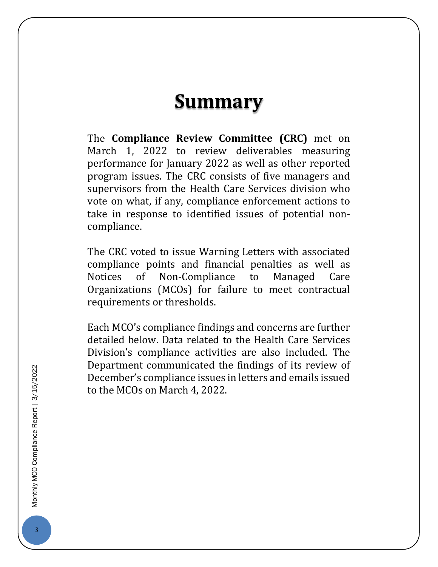### **Summary**

<span id="page-3-0"></span>The **Compliance Review Committee (CRC)** met on March 1, 2022 to review deliverables measuring performance for January 2022 as well as other reported program issues. The CRC consists of five managers and supervisors from the Health Care Services division who vote on what, if any, compliance enforcement actions to take in response to identified issues of potential noncompliance.

The CRC voted to issue Warning Letters with associated compliance points and financial penalties as well as Non-Compliance Organizations (MCOs) for failure to meet contractual requirements or thresholds.

<span id="page-3-1"></span>Each MCO's compliance findings and concerns are further detailed below. Data related to the Health Care Services Division's compliance activities are also included. The Department communicated the findings of its review of December's compliance issues in letters and emails issued to the MCOs on March 4, 2022.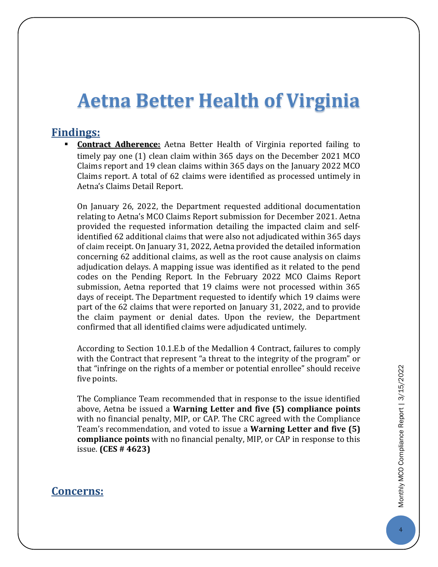### **Aetna Better Health of Virginia**

#### **Findings:**

 **Contract Adherence:** Aetna Better Health of Virginia reported failing to timely pay one (1) clean claim within 365 days on the December 2021 MCO Claims report and 19 clean claims within 365 days on the January 2022 MCO Claims report. A total of 62 claims were identified as processed untimely in Aetna's Claims Detail Report.

On January 26, 2022, the Department requested additional documentation relating to Aetna's MCO Claims Report submission for December 2021. Aetna provided the requested information detailing the impacted claim and selfidentified 62 additional claims that were also not adjudicated within 365 days of claim receipt. On January 31, 2022, Aetna provided the detailed information concerning 62 additional claims, as well as the root cause analysis on claims adjudication delays. A mapping issue was identified as it related to the pend codes on the Pending Report. In the February 2022 MCO Claims Report submission, Aetna reported that 19 claims were not processed within 365 days of receipt. The Department requested to identify which 19 claims were part of the 62 claims that were reported on January 31, 2022, and to provide the claim payment or denial dates. Upon the review, the Department confirmed that all identified claims were adjudicated untimely.

According to Section 10.1.E.b of the Medallion 4 Contract, failures to comply with the Contract that represent "a threat to the integrity of the program" or that "infringe on the rights of a member or potential enrollee" should receive five points.

The Compliance Team recommended that in response to the issue identified above, Aetna be issued a **Warning Letter and five (5) compliance points** with no financial penalty, MIP, or CAP. The CRC agreed with the Compliance Team's recommendation, and voted to issue a **Warning Letter and five (5) compliance points** with no financial penalty, MIP, or CAP in response to this issue. **(CES # 4623)**

#### **Concerns:**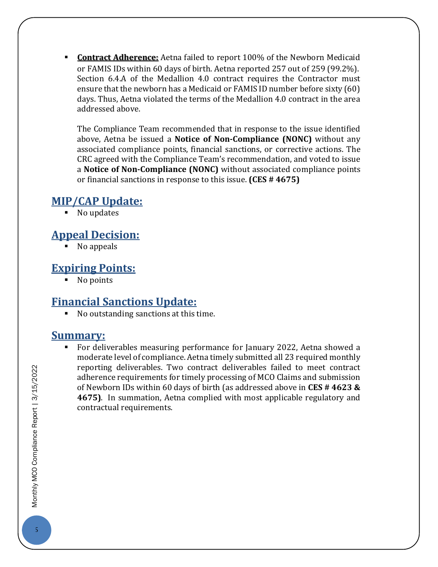**Contract Adherence:** Aetna failed to report 100% of the Newborn Medicaid or FAMIS IDs within 60 days of birth. Aetna reported 257 out of 259 (99.2%). Section 6.4.A of the Medallion 4.0 contract requires the Contractor must ensure that the newborn has a Medicaid or FAMIS ID number before sixty (60) days. Thus, Aetna violated the terms of the Medallion 4.0 contract in the area addressed above.

The Compliance Team recommended that in response to the issue identified above, Aetna be issued a **Notice of Non-Compliance (NONC)** without any associated compliance points, financial sanctions, or corrective actions. The CRC agreed with the Compliance Team's recommendation, and voted to issue a **Notice of Non-Compliance (NONC)** without associated compliance points or financial sanctions in response to this issue. **(CES # 4675)**

#### **MIP/CAP Update:**

No updates

#### **Appeal Decision:**

No appeals

#### **Expiring Points:**

• No points

#### **Financial Sanctions Update:**

No outstanding sanctions at this time.

#### **Summary:**

 For deliverables measuring performance for January 2022, Aetna showed a moderate level of compliance. Aetna timely submitted all 23 required monthly reporting deliverables. Two contract deliverables failed to meet contract adherence requirements for timely processing of MCO Claims and submission of Newborn IDs within 60 days of birth (as addressed above in **CES # 4623 & 4675)**. In summation, Aetna complied with most applicable regulatory and contractual requirements.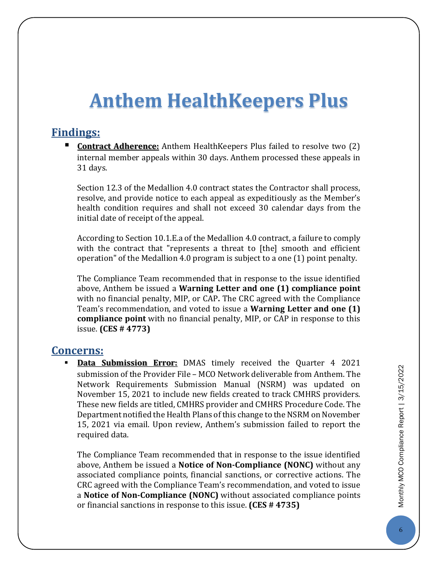### <span id="page-6-0"></span>**Anthem HealthKeepers Plus**

#### **Findings:**

 **Contract Adherence:** Anthem HealthKeepers Plus failed to resolve two (2) internal member appeals within 30 days. Anthem processed these appeals in 31 days.

Section 12.3 of the Medallion 4.0 contract states the Contractor shall process, resolve, and provide notice to each appeal as expeditiously as the Member's health condition requires and shall not exceed 30 calendar days from the initial date of receipt of the appeal.

According to Section 10.1.E.a of the Medallion 4.0 contract, a failure to comply with the contract that "represents a threat to [the] smooth and efficient operation" of the Medallion 4.0 program is subject to a one (1) point penalty.

The Compliance Team recommended that in response to the issue identified above, Anthem be issued a **Warning Letter and one (1) compliance point** with no financial penalty, MIP, or CAP**.** The CRC agreed with the Compliance Team's recommendation, and voted to issue a **Warning Letter and one (1) compliance point** with no financial penalty, MIP, or CAP in response to this issue. **(CES # 4773)**

#### **Concerns:**

 **Data Submission Error:** DMAS timely received the Quarter 4 2021 submission of the Provider File – MCO Network deliverable from Anthem. The Network Requirements Submission Manual (NSRM) was updated on November 15, 2021 to include new fields created to track CMHRS providers. These new fields are titled, CMHRS provider and CMHRS Procedure Code. The Department notified the Health Plans of this change to the NSRM on November 15, 2021 via email. Upon review, Anthem's submission failed to report the required data.

The Compliance Team recommended that in response to the issue identified above, Anthem be issued a **Notice of Non-Compliance (NONC)** without any associated compliance points, financial sanctions, or corrective actions. The CRC agreed with the Compliance Team's recommendation, and voted to issue a **Notice of Non-Compliance (NONC)** without associated compliance points or financial sanctions in response to this issue. **(CES # 4735)**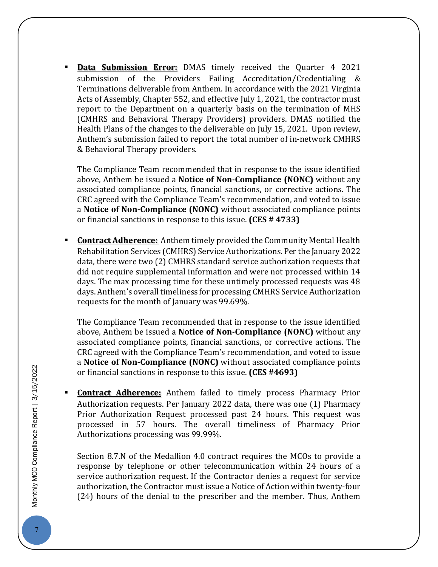**Data Submission Error:** DMAS timely received the Quarter 4 2021 submission of the Providers Failing Accreditation/Credentialing & Terminations deliverable from Anthem. In accordance with the 2021 Virginia Acts of Assembly, Chapter 552, and effective July 1, 2021, the contractor must report to the Department on a quarterly basis on the termination of MHS (CMHRS and Behavioral Therapy Providers) providers. DMAS notified the Health Plans of the changes to the deliverable on July 15, 2021. Upon review, Anthem's submission failed to report the total number of in-network CMHRS & Behavioral Therapy providers.

The Compliance Team recommended that in response to the issue identified above, Anthem be issued a **Notice of Non-Compliance (NONC)** without any associated compliance points, financial sanctions, or corrective actions. The CRC agreed with the Compliance Team's recommendation, and voted to issue a **Notice of Non-Compliance (NONC)** without associated compliance points or financial sanctions in response to this issue. **(CES # 4733)**

 **Contract Adherence:** Anthem timely provided the Community Mental Health Rehabilitation Services (CMHRS) Service Authorizations. Per the January 2022 data, there were two (2) CMHRS standard service authorization requests that did not require supplemental information and were not processed within 14 days. The max processing time for these untimely processed requests was 48 days. Anthem's overall timeliness for processing CMHRS Service Authorization requests for the month of January was 99.69%.

The Compliance Team recommended that in response to the issue identified above, Anthem be issued a **Notice of Non-Compliance (NONC)** without any associated compliance points, financial sanctions, or corrective actions. The CRC agreed with the Compliance Team's recommendation, and voted to issue a **Notice of Non-Compliance (NONC)** without associated compliance points or financial sanctions in response to this issue. **(CES #4693)**

 **Contract Adherence:** Anthem failed to timely process Pharmacy Prior Authorization requests. Per January 2022 data, there was one (1) Pharmacy Prior Authorization Request processed past 24 hours. This request was processed in 57 hours. The overall timeliness of Pharmacy Prior Authorizations processing was 99.99%.

Section 8.7.N of the Medallion 4.0 contract requires the MCOs to provide a response by telephone or other telecommunication within 24 hours of a service authorization request. If the Contractor denies a request for service authorization, the Contractor must issue a Notice of Action within twenty-four (24) hours of the denial to the prescriber and the member. Thus, Anthem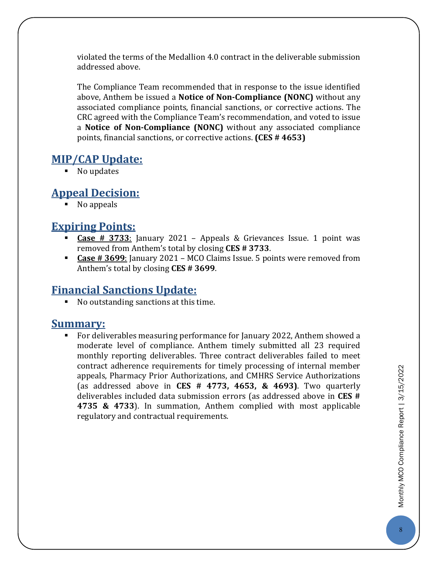violated the terms of the Medallion 4.0 contract in the deliverable submission addressed above.

The Compliance Team recommended that in response to the issue identified above, Anthem be issued a **Notice of Non-Compliance (NONC)** without any associated compliance points, financial sanctions, or corrective actions. The CRC agreed with the Compliance Team's recommendation, and voted to issue a **Notice of Non-Compliance (NONC)** without any associated compliance points, financial sanctions, or corrective actions. **(CES # 4653)**

#### **MIP/CAP Update:**

• No updates

#### **Appeal Decision:**

• No appeals

#### **Expiring Points:**

- **Case # 3733**: January 2021 Appeals & Grievances Issue. 1 point was removed from Anthem's total by closing **CES # 3733**.
- **Case # 3699**: January 2021 MCO Claims Issue. 5 points were removed from Anthem's total by closing **CES # 3699**.

#### **Financial Sanctions Update:**

No outstanding sanctions at this time.

#### **Summary:**

 For deliverables measuring performance for January 2022, Anthem showed a moderate level of compliance. Anthem timely submitted all 23 required monthly reporting deliverables. Three contract deliverables failed to meet contract adherence requirements for timely processing of internal member appeals, Pharmacy Prior Authorizations, and CMHRS Service Authorizations (as addressed above in **CES # 4773, 4653, & 4693)**. Two quarterly deliverables included data submission errors (as addressed above in **CES # 4735 & 4733**). In summation, Anthem complied with most applicable regulatory and contractual requirements.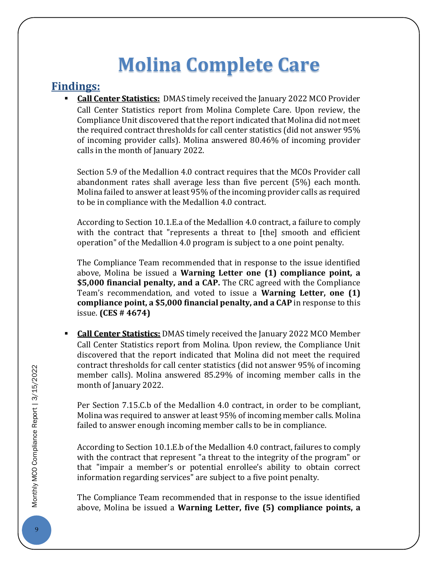## **Molina Complete Care**

#### <span id="page-9-0"></span>**Findings:**

 **Call Center Statistics:** DMAS timely received the January 2022 MCO Provider Call Center Statistics report from Molina Complete Care. Upon review, the Compliance Unit discovered that the report indicated that Molina did not meet the required contract thresholds for call center statistics (did not answer 95% of incoming provider calls). Molina answered 80.46% of incoming provider calls in the month of January 2022.

Section 5.9 of the Medallion 4.0 contract requires that the MCOs Provider call abandonment rates shall average less than five percent (5%) each month. Molina failed to answer at least 95% of the incoming provider calls as required to be in compliance with the Medallion 4.0 contract.

According to Section 10.1.E.a of the Medallion 4.0 contract, a failure to comply with the contract that "represents a threat to [the] smooth and efficient operation" of the Medallion 4.0 program is subject to a one point penalty.

The Compliance Team recommended that in response to the issue identified above, Molina be issued a **Warning Letter one (1) compliance point, a \$5,000 financial penalty, and a CAP.** The CRC agreed with the Compliance Team's recommendation, and voted to issue a **Warning Letter, one (1) compliance point, a \$5,000 financial penalty, and a CAP** in response to this issue. **(CES # 4674)**

 **Call Center Statistics:** DMAS timely received the January 2022 MCO Member Call Center Statistics report from Molina. Upon review, the Compliance Unit discovered that the report indicated that Molina did not meet the required contract thresholds for call center statistics (did not answer 95% of incoming member calls). Molina answered 85.29% of incoming member calls in the month of January 2022.

Per Section 7.15.C.b of the Medallion 4.0 contract, in order to be compliant, Molina was required to answer at least 95% of incoming member calls. Molina failed to answer enough incoming member calls to be in compliance.

According to Section 10.1.E.b of the Medallion 4.0 contract, failures to comply with the contract that represent "a threat to the integrity of the program" or that "impair a member's or potential enrollee's ability to obtain correct information regarding services" are subject to a five point penalty.

The Compliance Team recommended that in response to the issue identified above, Molina be issued a **Warning Letter, five (5) compliance points, a**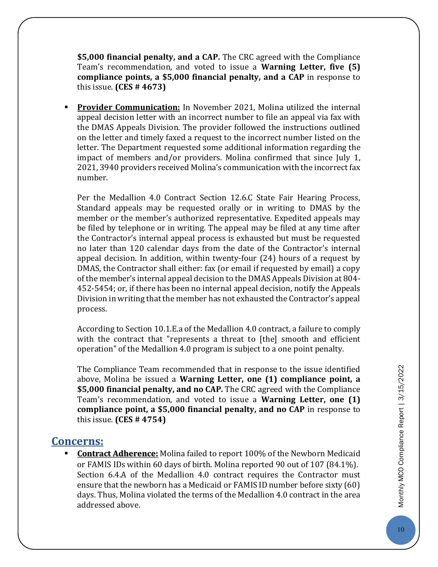**\$5,000 financial penalty, and a CAP.** The CRC agreed with the Compliance Team's recommendation, and voted to issue a **Warning Letter, five (5) compliance points, a \$5,000 financial penalty, and a CAP** in response to this issue. **(CES # 4673)**

 **Provider Communication:** In November 2021, Molina utilized the internal appeal decision letter with an incorrect number to file an appeal via fax with the DMAS Appeals Division. The provider followed the instructions outlined on the letter and timely faxed a request to the incorrect number listed on the letter. The Department requested some additional information regarding the impact of members and/or providers. Molina confirmed that since July 1, 2021, 3940 providers received Molina's communication with the incorrect fax number.

Per the Medallion 4.0 Contract Section 12.6.C State Fair Hearing Process, Standard appeals may be requested orally or in writing to DMAS by the member or the member's authorized representative. Expedited appeals may be filed by telephone or in writing. The appeal may be filed at any time after the Contractor's internal appeal process is exhausted but must be requested no later than 120 calendar days from the date of the Contractor's internal appeal decision. In addition, within twenty-four (24) hours of a request by DMAS, the Contractor shall either: fax (or email if requested by email) a copy of the member's internal appeal decision to the DMAS Appeals Division at 804- 452-5454; or, if there has been no internal appeal decision, notify the Appeals Division in writing that the member has not exhausted the Contractor's appeal process.

According to Section 10.1.E.a of the Medallion 4.0 contract, a failure to comply with the contract that "represents a threat to [the] smooth and efficient operation" of the Medallion 4.0 program is subject to a one point penalty.

The Compliance Team recommended that in response to the issue identified above, Molina be issued a **Warning Letter, one (1) compliance point, a \$5,000 financial penalty, and no CAP.** The CRC agreed with the Compliance Team's recommendation, and voted to issue a **Warning Letter, one (1) compliance point, a \$5,000 financial penalty, and no CAP** in response to this issue. **(CES # 4754)**

#### **Concerns:**

 **Contract Adherence:** Molina failed to report 100% of the Newborn Medicaid or FAMIS IDs within 60 days of birth. Molina reported 90 out of 107 (84.1%). Section 6.4.A of the Medallion 4.0 contract requires the Contractor must ensure that the newborn has a Medicaid or FAMIS ID number before sixty (60) days. Thus, Molina violated the terms of the Medallion 4.0 contract in the area addressed above.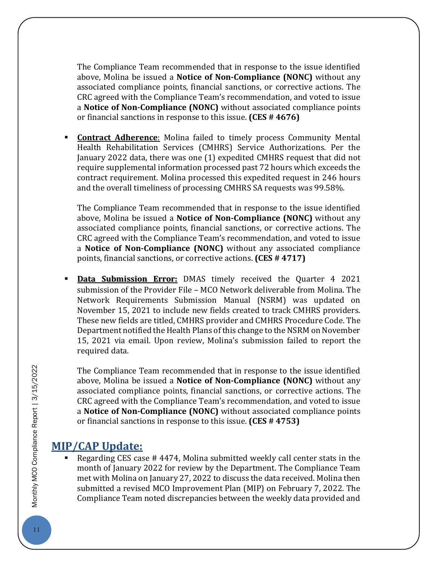The Compliance Team recommended that in response to the issue identified above, Molina be issued a **Notice of Non-Compliance (NONC)** without any associated compliance points, financial sanctions, or corrective actions. The CRC agreed with the Compliance Team's recommendation, and voted to issue a **Notice of Non-Compliance (NONC)** without associated compliance points or financial sanctions in response to this issue. **(CES # 4676)**

 **Contract Adherence**: Molina failed to timely process Community Mental Health Rehabilitation Services (CMHRS) Service Authorizations. Per the January 2022 data, there was one (1) expedited CMHRS request that did not require supplemental information processed past 72 hours which exceeds the contract requirement. Molina processed this expedited request in 246 hours and the overall timeliness of processing CMHRS SA requests was 99.58%.

The Compliance Team recommended that in response to the issue identified above, Molina be issued a **Notice of Non-Compliance (NONC)** without any associated compliance points, financial sanctions, or corrective actions. The CRC agreed with the Compliance Team's recommendation, and voted to issue a **Notice of Non-Compliance (NONC)** without any associated compliance points, financial sanctions, or corrective actions. **(CES # 4717)**

 **Data Submission Error:** DMAS timely received the Quarter 4 2021 submission of the Provider File – MCO Network deliverable from Molina. The Network Requirements Submission Manual (NSRM) was updated on November 15, 2021 to include new fields created to track CMHRS providers. These new fields are titled, CMHRS provider and CMHRS Procedure Code. The Department notified the Health Plans of this change to the NSRM on November 15, 2021 via email. Upon review, Molina's submission failed to report the required data.

The Compliance Team recommended that in response to the issue identified above, Molina be issued a **Notice of Non-Compliance (NONC)** without any associated compliance points, financial sanctions, or corrective actions. The CRC agreed with the Compliance Team's recommendation, and voted to issue a **Notice of Non-Compliance (NONC)** without associated compliance points or financial sanctions in response to this issue. **(CES # 4753)**

#### **MIP/CAP Update:**

 Regarding CES case # 4474, Molina submitted weekly call center stats in the month of January 2022 for review by the Department. The Compliance Team met with Molina on January 27, 2022 to discuss the data received. Molina then submitted a revised MCO Improvement Plan (MIP) on February 7, 2022. The Compliance Team noted discrepancies between the weekly data provided and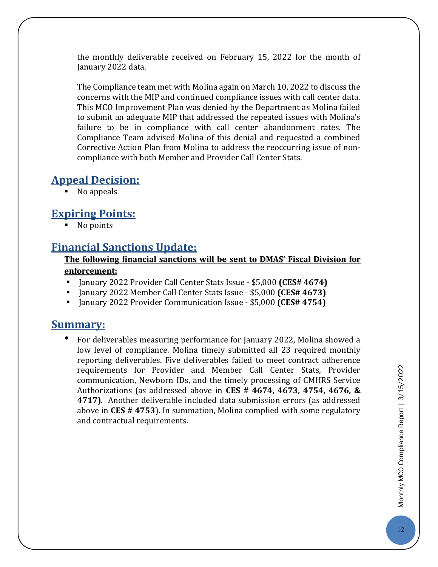the monthly deliverable received on February 15, 2022 for the month of January 2022 data.

The Compliance team met with Molina again on March 10, 2022 to discuss the concerns with the MIP and continued compliance issues with call center data. This MCO Improvement Plan was denied by the Department as Molina failed to submit an adequate MIP that addressed the repeated issues with Molina's failure to be in compliance with call center abandonment rates. The Compliance Team advised Molina of this denial and requested a combined Corrective Action Plan from Molina to address the reoccurring issue of noncompliance with both Member and Provider Call Center Stats.

#### **Appeal Decision:**

• No appeals

#### **Expiring Points:**

• No points

#### **Financial Sanctions Update:**

#### **The following financial sanctions will be sent to DMAS' Fiscal Division for enforcement:**

- January 2022 Provider Call Center Stats Issue \$5,000 **(CES# 4674)**
- January 2022 Member Call Center Stats Issue \$5,000 **(CES# 4673)**
- January 2022 Provider Communication Issue \$5,000 **(CES# 4754)**

#### **Summary:**

• For deliverables measuring performance for January 2022, Molina showed a low level of compliance. Molina timely submitted all 23 required monthly reporting deliverables. Five deliverables failed to meet contract adherence requirements for Provider and Member Call Center Stats, Provider communication, Newborn IDs, and the timely processing of CMHRS Service Authorizations (as addressed above in **CES # 4674, 4673, 4754, 4676, & 4717)**. Another deliverable included data submission errors (as addressed above in **CES # 4753**). In summation, Molina complied with some regulatory and contractual requirements.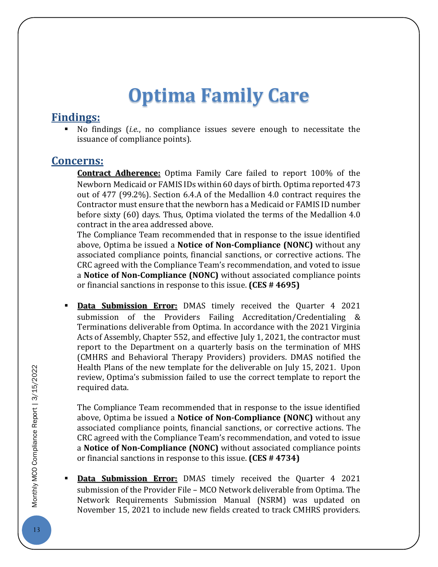## **Optima Family Care**

#### <span id="page-13-0"></span>**Findings:**

 No findings (*i.e.*, no compliance issues severe enough to necessitate the issuance of compliance points).

#### **Concerns:**

**Contract Adherence:** Optima Family Care failed to report 100% of the Newborn Medicaid or FAMIS IDs within 60 days of birth. Optima reported 473 out of 477 (99.2%). Section 6.4.A of the Medallion 4.0 contract requires the Contractor must ensure that the newborn has a Medicaid or FAMIS ID number before sixty (60) days. Thus, Optima violated the terms of the Medallion 4.0 contract in the area addressed above.

The Compliance Team recommended that in response to the issue identified above, Optima be issued a **Notice of Non-Compliance (NONC)** without any associated compliance points, financial sanctions, or corrective actions. The CRC agreed with the Compliance Team's recommendation, and voted to issue a **Notice of Non-Compliance (NONC)** without associated compliance points or financial sanctions in response to this issue. **(CES # 4695)**

 **Data Submission Error:** DMAS timely received the Quarter 4 2021 submission of the Providers Failing Accreditation/Credentialing & Terminations deliverable from Optima. In accordance with the 2021 Virginia Acts of Assembly, Chapter 552, and effective July 1, 2021, the contractor must report to the Department on a quarterly basis on the termination of MHS (CMHRS and Behavioral Therapy Providers) providers. DMAS notified the Health Plans of the new template for the deliverable on July 15, 2021. Upon review, Optima's submission failed to use the correct template to report the required data.

The Compliance Team recommended that in response to the issue identified above, Optima be issued a **Notice of Non-Compliance (NONC)** without any associated compliance points, financial sanctions, or corrective actions. The CRC agreed with the Compliance Team's recommendation, and voted to issue a **Notice of Non-Compliance (NONC)** without associated compliance points or financial sanctions in response to this issue. **(CES # 4734)**

 **Data Submission Error:** DMAS timely received the Quarter 4 2021 submission of the Provider File – MCO Network deliverable from Optima. The Network Requirements Submission Manual (NSRM) was updated on November 15, 2021 to include new fields created to track CMHRS providers.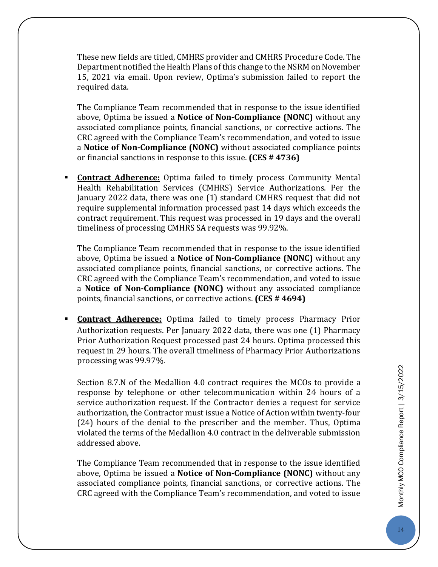These new fields are titled, CMHRS provider and CMHRS Procedure Code. The Department notified the Health Plans of this change to the NSRM on November 15, 2021 via email. Upon review, Optima's submission failed to report the required data.

The Compliance Team recommended that in response to the issue identified above, Optima be issued a **Notice of Non-Compliance (NONC)** without any associated compliance points, financial sanctions, or corrective actions. The CRC agreed with the Compliance Team's recommendation, and voted to issue a **Notice of Non-Compliance (NONC)** without associated compliance points or financial sanctions in response to this issue. **(CES # 4736)**

 **Contract Adherence:** Optima failed to timely process Community Mental Health Rehabilitation Services (CMHRS) Service Authorizations. Per the January 2022 data, there was one (1) standard CMHRS request that did not require supplemental information processed past 14 days which exceeds the contract requirement. This request was processed in 19 days and the overall timeliness of processing CMHRS SA requests was 99.92%.

The Compliance Team recommended that in response to the issue identified above, Optima be issued a **Notice of Non-Compliance (NONC)** without any associated compliance points, financial sanctions, or corrective actions. The CRC agreed with the Compliance Team's recommendation, and voted to issue a **Notice of Non-Compliance (NONC)** without any associated compliance points, financial sanctions, or corrective actions. **(CES # 4694)**

 **Contract Adherence:** Optima failed to timely process Pharmacy Prior Authorization requests. Per January 2022 data, there was one (1) Pharmacy Prior Authorization Request processed past 24 hours. Optima processed this request in 29 hours. The overall timeliness of Pharmacy Prior Authorizations processing was 99.97%.

Section 8.7.N of the Medallion 4.0 contract requires the MCOs to provide a response by telephone or other telecommunication within 24 hours of a service authorization request. If the Contractor denies a request for service authorization, the Contractor must issue a Notice of Action within twenty-four (24) hours of the denial to the prescriber and the member. Thus, Optima violated the terms of the Medallion 4.0 contract in the deliverable submission addressed above.

The Compliance Team recommended that in response to the issue identified above, Optima be issued a **Notice of Non-Compliance (NONC)** without any associated compliance points, financial sanctions, or corrective actions. The CRC agreed with the Compliance Team's recommendation, and voted to issue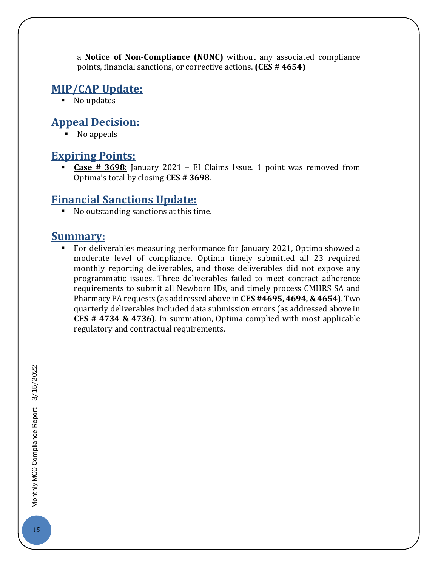a **Notice of Non-Compliance (NONC)** without any associated compliance points, financial sanctions, or corrective actions. **(CES # 4654)**

#### **MIP/CAP Update:**

• No updates

#### **Appeal Decision:**

No appeals

#### **Expiring Points:**

 **Case # 3698**: January 2021 – EI Claims Issue. 1 point was removed from Optima's total by closing **CES # 3698**.

#### **Financial Sanctions Update:**

No outstanding sanctions at this time.

#### **Summary:**

 For deliverables measuring performance for January 2021, Optima showed a moderate level of compliance. Optima timely submitted all 23 required monthly reporting deliverables, and those deliverables did not expose any programmatic issues. Three deliverables failed to meet contract adherence requirements to submit all Newborn IDs, and timely process CMHRS SA and Pharmacy PA requests (as addressed above in **CES #4695, 4694, & 4654**). Two quarterly deliverables included data submission errors (as addressed above in **CES # 4734 & 4736**). In summation, Optima complied with most applicable regulatory and contractual requirements.

Monthly MCO Compliance Report | 3/15/2022 15Monthly MCO Compliance Report | 3/15/2022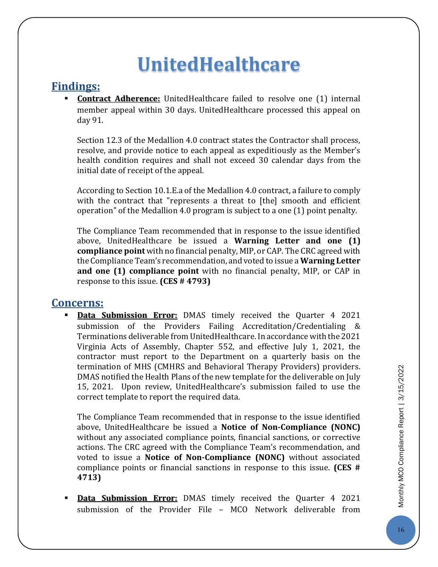### **UnitedHealthcare**

#### <span id="page-16-0"></span>**Findings:**

**Contract Adherence:** UnitedHealthcare failed to resolve one (1) internal member appeal within 30 days. UnitedHealthcare processed this appeal on day 91.

Section 12.3 of the Medallion 4.0 contract states the Contractor shall process, resolve, and provide notice to each appeal as expeditiously as the Member's health condition requires and shall not exceed 30 calendar days from the initial date of receipt of the appeal.

According to Section 10.1.E.a of the Medallion 4.0 contract, a failure to comply with the contract that "represents a threat to [the] smooth and efficient operation" of the Medallion 4.0 program is subject to a one (1) point penalty.

The Compliance Team recommended that in response to the issue identified above, UnitedHealthcare be issued a **Warning Letter and one (1) compliance point** with no financial penalty, MIP, or CAP. The CRC agreed with the Compliance Team's recommendation, and voted to issue a **Warning Letter and one (1) compliance point** with no financial penalty, MIP, or CAP in response to this issue. **(CES # 4793)**

#### **Concerns:**

 **Data Submission Error:** DMAS timely received the Quarter 4 2021 submission of the Providers Failing Accreditation/Credentialing & Terminations deliverable from UnitedHealthcare. In accordance with the 2021 Virginia Acts of Assembly, Chapter 552, and effective July 1, 2021, the contractor must report to the Department on a quarterly basis on the termination of MHS (CMHRS and Behavioral Therapy Providers) providers. DMAS notified the Health Plans of the new template for the deliverable on July 15, 2021. Upon review, UnitedHealthcare's submission failed to use the correct template to report the required data.

The Compliance Team recommended that in response to the issue identified above, UnitedHealthcare be issued a **Notice of Non-Compliance (NONC)** without any associated compliance points, financial sanctions, or corrective actions. The CRC agreed with the Compliance Team's recommendation, and voted to issue a **Notice of Non-Compliance (NONC)** without associated compliance points or financial sanctions in response to this issue. **(CES # 4713)**

 **Data Submission Error:** DMAS timely received the Quarter 4 2021 submission of the Provider File – MCO Network deliverable from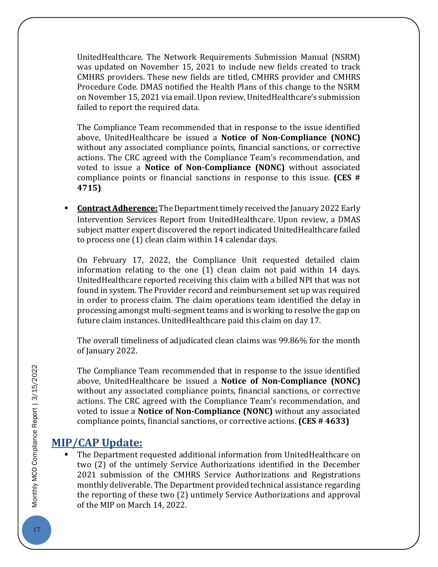UnitedHealthcare. The Network Requirements Submission Manual (NSRM) was updated on November 15, 2021 to include new fields created to track CMHRS providers. These new fields are titled, CMHRS provider and CMHRS Procedure Code. DMAS notified the Health Plans of this change to the NSRM on November 15, 2021 via email. Upon review, UnitedHealthcare's submission failed to report the required data.

The Compliance Team recommended that in response to the issue identified above, UnitedHealthcare be issued a **Notice of Non-Compliance (NONC)** without any associated compliance points, financial sanctions, or corrective actions. The CRC agreed with the Compliance Team's recommendation, and voted to issue a **Notice of Non-Compliance (NONC)** without associated compliance points or financial sanctions in response to this issue. **(CES # 4715)**

 **Contract Adherence:** The Department timely received the January 2022 Early Intervention Services Report from UnitedHealthcare. Upon review, a DMAS subject matter expert discovered the report indicated UnitedHealthcare failed to process one (1) clean claim within 14 calendar days.

On February 17, 2022, the Compliance Unit requested detailed claim information relating to the one (1) clean claim not paid within 14 days. UnitedHealthcare reported receiving this claim with a billed NPI that was not found in system. The Provider record and reimbursement set up was required in order to process claim. The claim operations team identified the delay in processing amongst multi-segment teams and is working to resolve the gap on future claim instances. UnitedHealthcare paid this claim on day 17.

The overall timeliness of adjudicated clean claims was 99.86% for the month of January 2022.

The Compliance Team recommended that in response to the issue identified above, UnitedHealthcare be issued a **Notice of Non-Compliance (NONC)** without any associated compliance points, financial sanctions, or corrective actions. The CRC agreed with the Compliance Team's recommendation, and voted to issue a **Notice of Non-Compliance (NONC)** without any associated compliance points, financial sanctions, or corrective actions. **(CES # 4633)**

#### **MIP/CAP Update:**

 The Department requested additional information from UnitedHealthcare on two (2) of the untimely Service Authorizations identified in the December 2021 submission of the CMHRS Service Authorizations and Registrations monthly deliverable. The Department provided technical assistance regarding the reporting of these two (2) untimely Service Authorizations and approval of the MIP on March 14, 2022.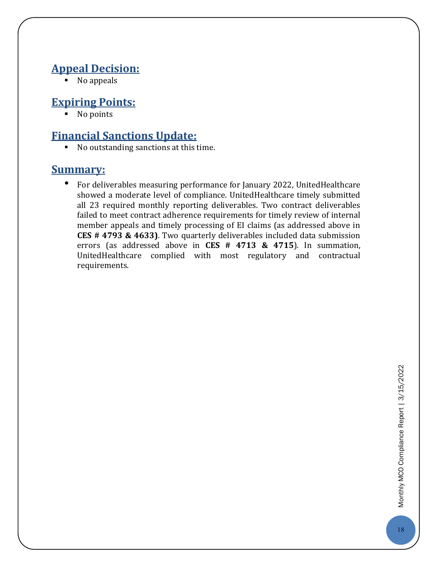#### **Appeal Decision:**

No appeals

#### **Expiring Points:**

• No points

#### **Financial Sanctions Update:**

No outstanding sanctions at this time.

#### **Summary:**

<span id="page-18-0"></span>• For deliverables measuring performance for January 2022, UnitedHealthcare showed a moderate level of compliance. UnitedHealthcare timely submitted all 23 required monthly reporting deliverables. Two contract deliverables failed to meet contract adherence requirements for timely review of internal member appeals and timely processing of EI claims (as addressed above in **CES # 4793 & 4633)**. Two quarterly deliverables included data submission errors (as addressed above in **CES # 4713 & 4715**). In summation, UnitedHealthcare complied with most regulatory and contractual requirements.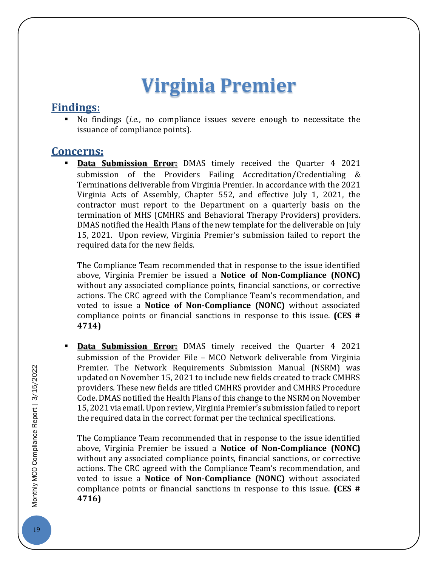### **Virginia Premier**

#### **Findings:**

 No findings (*i.e.*, no compliance issues severe enough to necessitate the issuance of compliance points).

#### **Concerns:**

**Data Submission Error:** DMAS timely received the Quarter 4 2021 submission of the Providers Failing Accreditation/Credentialing & Terminations deliverable from Virginia Premier. In accordance with the 2021 Virginia Acts of Assembly, Chapter 552, and effective July 1, 2021, the contractor must report to the Department on a quarterly basis on the termination of MHS (CMHRS and Behavioral Therapy Providers) providers. DMAS notified the Health Plans of the new template for the deliverable on July 15, 2021. Upon review, Virginia Premier's submission failed to report the required data for the new fields.

The Compliance Team recommended that in response to the issue identified above, Virginia Premier be issued a **Notice of Non-Compliance (NONC)** without any associated compliance points, financial sanctions, or corrective actions. The CRC agreed with the Compliance Team's recommendation, and voted to issue a **Notice of Non-Compliance (NONC)** without associated compliance points or financial sanctions in response to this issue. **(CES # 4714)**

 **Data Submission Error:** DMAS timely received the Quarter 4 2021 submission of the Provider File – MCO Network deliverable from Virginia Premier. The Network Requirements Submission Manual (NSRM) was updated on November 15, 2021 to include new fields created to track CMHRS providers. These new fields are titled CMHRS provider and CMHRS Procedure Code. DMAS notified the Health Plans of this change to the NSRM on November 15, 2021 via email.Upon review, Virginia Premier's submission failed to report the required data in the correct format per the technical specifications.

The Compliance Team recommended that in response to the issue identified above, Virginia Premier be issued a **Notice of Non-Compliance (NONC)** without any associated compliance points, financial sanctions, or corrective actions. The CRC agreed with the Compliance Team's recommendation, and voted to issue a **Notice of Non-Compliance (NONC)** without associated compliance points or financial sanctions in response to this issue. **(CES # 4716)**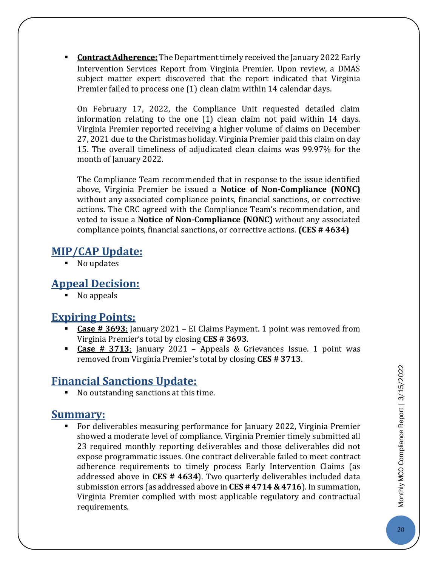**Contract Adherence:** The Department timely received the January 2022 Early Intervention Services Report from Virginia Premier. Upon review, a DMAS subject matter expert discovered that the report indicated that Virginia Premier failed to process one (1) clean claim within 14 calendar days.

On February 17, 2022, the Compliance Unit requested detailed claim information relating to the one (1) clean claim not paid within 14 days. Virginia Premier reported receiving a higher volume of claims on December 27, 2021 due to the Christmas holiday. Virginia Premier paid this claim on day 15. The overall timeliness of adjudicated clean claims was 99.97% for the month of January 2022.

The Compliance Team recommended that in response to the issue identified above, Virginia Premier be issued a **Notice of Non-Compliance (NONC)** without any associated compliance points, financial sanctions, or corrective actions. The CRC agreed with the Compliance Team's recommendation, and voted to issue a **Notice of Non-Compliance (NONC)** without any associated compliance points, financial sanctions, or corrective actions. **(CES # 4634)**

#### **MIP/CAP Update:**

■ No updates

#### **Appeal Decision:**

No appeals

#### **Expiring Points:**

- **Case # 3693**: January 2021 EI Claims Payment. 1 point was removed from Virginia Premier's total by closing **CES # 3693**.
- **Case # 3713**: January 2021 Appeals & Grievances Issue. 1 point was removed from Virginia Premier's total by closing **CES # 3713**.

#### **Financial Sanctions Update:**

No outstanding sanctions at this time.

#### **Summary:**

 For deliverables measuring performance for January 2022, Virginia Premier showed a moderate level of compliance. Virginia Premier timely submitted all 23 required monthly reporting deliverables and those deliverables did not expose programmatic issues. One contract deliverable failed to meet contract adherence requirements to timely process Early Intervention Claims (as addressed above in **CES # 4634**). Two quarterly deliverables included data submission errors (as addressed above in **CES # 4714 & 4716**). In summation, Virginia Premier complied with most applicable regulatory and contractual requirements.